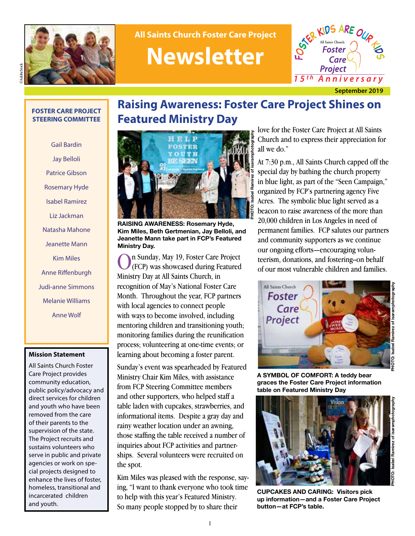

**FOSTER CARE PROJECT STEERING COMMITTEE**

Gail Bardin

Jay Belloli

Patrice Gibson

Rosemary Hyde

Isabel Ramirez

Liz Jackman

Natasha Mahone

Jeanette Mann

Kim Miles

Anne Riffenburgh

Judi-anne Simmons

Melanie Williams

Anne Wolf

**Mission Statement** All Saints Church Foster Care Project provides community education, public policy/advocacy and direct services for children and youth who have been removed from the care of their parents to the supervision of the state. The Project recruits and sustains volunteers who serve in public and private agencies or work on special projects designed to enhance the lives of foster, homeless, transitional and incarcerated children

and youth.

## **September 2019 Raising Awareness: Foster Care Project Shines on Featured Ministry Day**



**All Saints Church Foster Care Project**

**Newsletter**

**RAISING AWARENESS: Rosemary Hyde, Kim Miles, Beth Gertmenian, Jay Belloli, and Jeanette Mann take part in FCP's Featured Ministry Day.**

n Sunday, May 19, Foster Care Project (FCP) was showcased during Featured Ministry Day at All Saints Church, in recognition of May's National Foster Care Month. Throughout the year, FCP partners with local agencies to connect people with ways to become involved, including mentoring children and transitioning youth; monitoring families during the reunification process; volunteering at one-time events; or learning about becoming a foster parent.

Sunday's event was spearheaded by Featured Ministry Chair Kim Miles, with assistance from FCP Steering Committee members and other supporters, who helped staff a table laden with cupcakes, strawberries, and informational items. Despite a gray day and rainy weather location under an awning, those staffing the table received a number of inquiries about FCP activities and partnerships. Several volunteers were recruited on the spot.

Kim Miles was pleased with the response, saying, "I want to thank everyone who took time to help with this year's Featured Ministry. So many people stopped by to share their

love for the Foster Care Project at All Saints Church and to express their appreciation for all we do."

FOSS

 $\overline{15th}$ 

RKIDS ARE OUP

Anniversary

**Foster Care** 

**Project** 

At 7:30 p.m., All Saints Church capped off the special day by bathing the church property in blue light, as part of the "Seen Campaign," organized by FCP's partnering agency Five Acres. The symbolic blue light served as a beacon to raise awareness of the more than 20,000 children in Los Angeles in need of permanent families. FCP salutes our partners and community supporters as we continue our ongoing efforts—encouraging volunteerism, donations, and fostering--on behalf of our most vulnerable children and families.



**A SYMBOL OF COMFORT: A teddy bear graces the Foster Care Project information table on Featured Ministry Day**



**CUPCAKES AND CARING: Visitors pick up information—and a Foster Care Project button—at FCP's table.**

**PHOTO: Isabel Ramirez of isaramphotography**HOTO: Isabel Ramirez of isaramphotograpl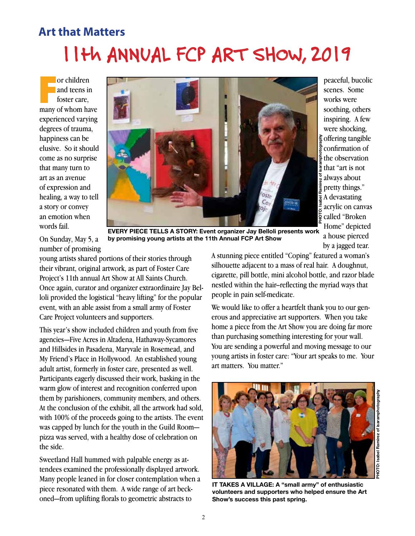# **Art that Matters** 11th ANNUAL FCP ART SHOW, 2019

**France Structure Structure Structure Structure Structure Structure Structure Structure Structure Structure Structure Structure Structure Structure Structure Structure Structure Structure Structure Structure Structure Stru** or children and teens in foster care, experienced varying degrees of trauma, happiness can be elusive. So it should come as no surprise that many turn to art as an avenue of expression and healing, a way to tell a story or convey an emotion when words fail.



peaceful, bucolic scenes. Some works were soothing, others inspiring. A few were shocking,  $\frac{2}{9}$  offering tangible confirmation of the observation that "art is not always about pretty things." A devastating acrylic on canvas called "Broken Home" depicted a house pierced by a jagged tear.

**EVERY PIECE TELLS A STORY: Event organizer Jay Belloli presents work by promising young artists at the 11th Annual FCP Art Show**

On Sunday, May 5, a number of promising

young artists shared portions of their stories through their vibrant, original artwork, as part of Foster Care Project's 11th annual Art Show at All Saints Church. Once again, curator and organizer extraordinaire Jay Belloli provided the logistical "heavy lifting" for the popular event, with an able assist from a small army of Foster Care Project volunteers and supporters.

This year's show included children and youth from five agencies—Five Acres in Altadena, Hathaway-Sycamores and Hillsides in Pasadena, Maryvale in Rosemead, and My Friend's Place in Hollywood. An established young adult artist, formerly in foster care, presented as well. Participants eagerly discussed their work, basking in the warm glow of interest and recognition conferred upon them by parishioners, community members, and others. At the conclusion of the exhibit, all the artwork had sold, with 100% of the proceeds going to the artists. The event was capped by lunch for the youth in the Guild Room pizza was served, with a healthy dose of celebration on the side.

Sweetland Hall hummed with palpable energy as attendees examined the professionally displayed artwork. Many people leaned in for closer contemplation when a piece resonated with them. A wide range of art beckoned—from uplifting florals to geometric abstracts to

A stunning piece entitled "Coping" featured a woman's silhouette adjacent to a mass of real hair. A doughnut, cigarette, pill bottle, mini alcohol bottle, and razor blade nestled within the hair--reflecting the myriad ways that people in pain self-medicate.

We would like to offer a heartfelt thank you to our generous and appreciative art supporters. When you take home a piece from the Art Show you are doing far more than purchasing something interesting for your wall. You are sending a powerful and moving message to our young artists in foster care: "Your art speaks to me. Your art matters. You matter."



**IT TAKES A VILLAGE: A "small army" of enthusiastic volunteers and supporters who helped ensure the Art Show's success this past spring.**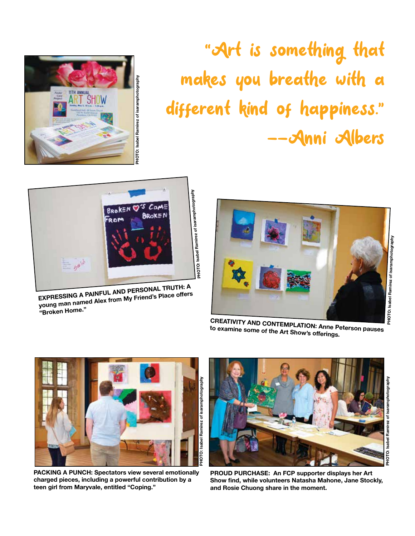"Art is something that makes you breathe with a different kind of happiness." --Anni Albers





**EXPRESSING A PAINFUL AND PERSONAL TRUTH: A young man named Alex from My Friend's Place offers "Broken Home."** 



**to examine some of the Art Show's offerings.**



**PACKING A PUNCH: Spectators view several emotionally charged pieces, including a powerful contribution by a teen girl from Maryvale, entitled "Coping."**



**PROUD PURCHASE: An FCP supporter displays her Art Show find, while volunteers Natasha Mahone, Jane Stockly, and Rosie Chuong share in the moment.**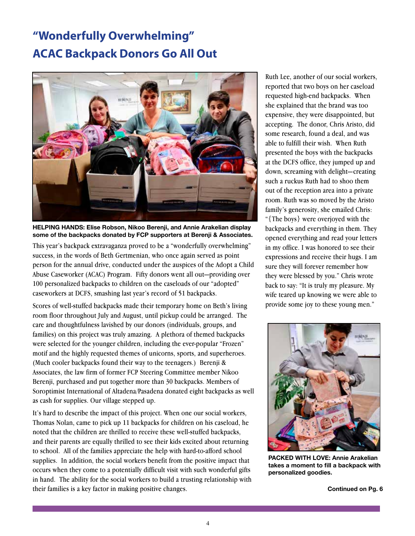# **"Wonderfully Overwhelming" ACAC Backpack Donors Go All Out**



**HELPING HANDS: Elise Robson, Nikoo Berenji, and Annie Arakelian display some of the backpacks donated by FCP supporters at Berenji & Associates.** 

This year's backpack extravaganza proved to be a "wonderfully overwhelming" success, in the words of Beth Gertmenian, who once again served as point person for the annual drive, conducted under the auspices of the Adopt a Child Abuse Caseworker (ACAC) Program. Fifty donors went all out—providing over 100 personalized backpacks to children on the caseloads of our "adopted" caseworkers at DCFS, smashing last year's record of 51 backpacks.

Scores of well-stuffed backpacks made their temporary home on Beth's living room floor throughout July and August, until pickup could be arranged. The care and thoughtfulness lavished by our donors (individuals, groups, and families) on this project was truly amazing. A plethora of themed backpacks were selected for the younger children, including the ever-popular "Frozen" motif and the highly requested themes of unicorns, sports, and superheroes. (Much cooler backpacks found their way to the teenagers.) Berenji  $\&$ Associates, the law firm of former FCP Steering Committee member Nikoo Berenji, purchased and put together more than 30 backpacks. Members of Soroptimist International of Altadena/Pasadena donated eight backpacks as well as cash for supplies. Our village stepped up.

It's hard to describe the impact of this project. When one our social workers, Thomas Nolan, came to pick up 11 backpacks for children on his caseload, he noted that the children are thrilled to receive these well-stuffed backpacks, and their parents are equally thrilled to see their kids excited about returning to school. All of the families appreciate the help with hard-to-afford school supplies. In addition, the social workers benefit from the positive impact that occurs when they come to a potentially difficult visit with such wonderful gifts in hand. The ability for the social workers to build a trusting relationship with their families is a key factor in making positive changes.

Ruth Lee, another of our social workers, reported that two boys on her caseload requested high-end backpacks. When she explained that the brand was too expensive, they were disappointed, but accepting. The donor, Chris Aristo, did some research, found a deal, and was able to fulfill their wish. When Ruth presented the boys with the backpacks at the DCFS office, they jumped up and down, screaming with delight—creating such a ruckus Ruth had to shoo them out of the reception area into a private room. Ruth was so moved by the Aristo family's generosity, she emailed Chris: "{The boys} were overjoyed with the backpacks and everything in them. They opened everything and read your letters in my office. I was honored to see their expressions and receive their hugs. I am sure they will forever remember how they were blessed by you." Chris wrote back to say: "It is truly my pleasure. My wife teared up knowing we were able to provide some joy to these young men."



**PACKED WITH LOVE: Annie Arakelian takes a moment to fill a backpack with personalized goodies.** 

**Continued on Pg. 6**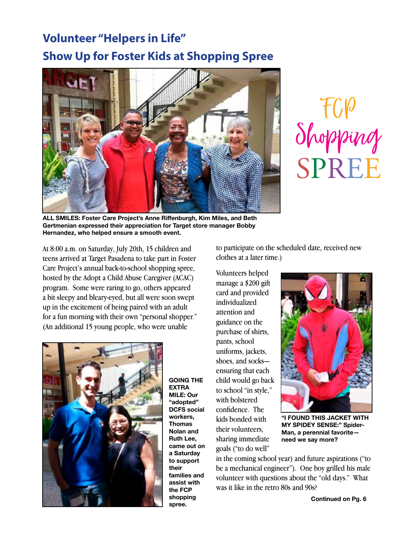# **Volunteer "Helpers in Life" Show Up for Foster Kids at Shopping Spree**





**ALL SMILES: Foster Care Project's Anne Riffenburgh, Kim Miles, and Beth Gertmenian expressed their appreciation for Target store manager Bobby Hernandez, who helped ensure a smooth event.**

At 8:00 a.m. on Saturday, July 20th, 15 children and teens arrived at Target Pasadena to take part in Foster Care Project's annual back-to-school shopping spree, hosted by the Adopt a Child Abuse Caregiver (ACAC) program. Some were raring to go, others appeared a bit sleepy and bleary-eyed, but all were soon swept up in the excitement of being paired with an adult for a fun morning with their own "personal shopper." (An additional 15 young people, who were unable



**GOING THE EXTRA MILE: Our "adopted" DCFS social workers, Thomas Nolan and Ruth Lee, came out on a Saturday to support their families and assist with the FCP shopping spree.**

to participate on the scheduled date, received new clothes at a later time.)

Volunteers helped manage a \$200 gift card and provided individualized attention and guidance on the purchase of shirts, pants, school uniforms, jackets, shoes, and socks ensuring that each child would go back to school "in style," with bolstered confidence. The kids bonded with their volunteers, sharing immediate goals ("to do well"



**"I FOUND THIS JACKET WITH MY SPIDEY SENSE:" Spider-Man, a perennial favorite need we say more?**

in the coming school year) and future aspirations ("to be a mechanical engineer"). One boy grilled his male volunteer with questions about the "old days." What was it like in the retro 80s and 90s?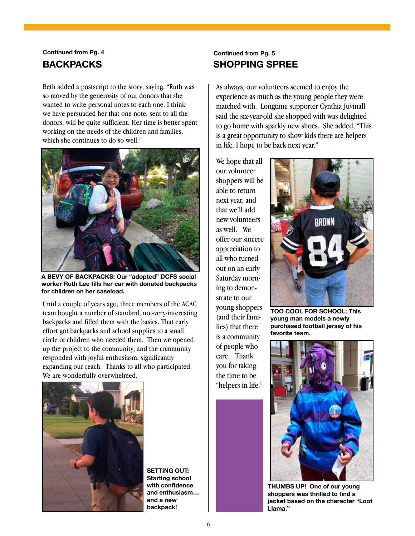### **Continued from Pg. 4 BACKPACKS**

Beth added a postscript to the story, saying, "Ruth was so moved by the generosity of our donors that she wanted to write personal notes to each one. I think we have persuaded her that one note, sent to all the donors, will be quite sufficient. Her time is better spent working on the needs of the children and families, which she continues to do so well."



**A BEVY OF BACKPACKS: Our "adopted" DCFS social worker Ruth Lee fills her car with donated backpacks for children on her caseload.**

Until a couple of years ago, three members of the ACAC team bought a number of standard, not-very-interesting backpacks and filled them with the basics. That early effort got backpacks and school supplies to a small circle of children who needed them. Then we opened up the project to the community, and the community responded with joyful enthusiasm, significantly expanding our reach. Thanks to all who participated. We are wonderfully overwhelmed.



**SETTING OUT: Starting school with confidence and enthusiasm… and a new backpack!**

### **Continued from Pg. 5 SHOPPING SPREE**

As always, our volunteers seemed to enjoy the experience as much as the young people they were matched with. Longtime supporter Cynthia Juvinall said the six-year-old she shopped with was delighted to go home with sparkly new shoes. She added, "This is a great opportunity to show kids there are helpers in life. I hope to be back next year."

We hope that all our volunteer shoppers will be able to return next year, and that we'll add new volunteers as well. We offer our sincere appreciation to all who turned out on an early Saturday morning to demonstrate to our young shoppers (and their families) that there is a community of people who care. Thank you for taking the time to be "helpers in life."



**TOO COOL FOR SCHOOL: This young man models a newly purchased football jersey of his favorite team.**



**THUMBS UP! One of our young shoppers was thrilled to find a jacket based on the character "Loot Llama."**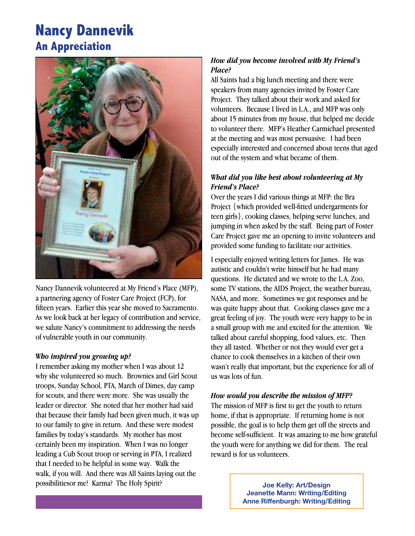# **Nancy Dannevik An Appreciation**



Nancy Dannevik volunteered at My Friend's Place (MFP), a partnering agency of Foster Care Project (FCP), for fifteen years. Earlier this year she moved to Sacramento. As we look back at her legacy of contribution and service, we salute Nancy's commitment to addressing the needs of vulnerable youth in our community.

#### *Who inspired you growing up?*

I remember asking my mother when I was about 12 why she volunteered so much. Brownies and Girl Scout troops, Sunday School, PTA, March of Dimes, day camp for scouts, and there were more. She was usually the leader or director. She noted that her mother had said that because their family had been given much, it was up to our family to give in return. And these were modest families by today's standards. My mother has most certainly been my inspiration. When I was no longer leading a Cub Scout troop or serving in PTA, I realized that I needed to be helpful in some way. Walk the walk, if you will. And there was All Saints laying out the possibilitiesor me! Karma? The Holy Spirit?

### *How did you become involved with My Friend's Place?*

All Saints had a big lunch meeting and there were speakers from many agencies invited by Foster Care Project. They talked about their work and asked for volunteers. Because I lived in L.A., and MFP was only about 15 minutes from my house, that helped me decide to volunteer there. MFP's Heather Carmichael presented at the meeting and was most persuasive. I had been especially interested and concerned about teens that aged out of the system and what became of them.

### *What did you like best about volunteering at My Friend's Place?*

Over the years I did various things at MFP: the Bra Project {which provided well-fitted undergarments for teen girls}, cooking classes, helping serve lunches, and jumping in when asked by the staff. Being part of Foster Care Project gave me an opening to invite volunteers and provided some funding to facilitate our activities.

I especially enjoyed writing letters for James. He was autistic and couldn't write himself but he had many questions. He dictated and we wrote to the L.A. Zoo, some TV stations, the AIDS Project, the weather bureau, NASA, and more. Sometimes we got responses and he was quite happy about that. Cooking classes gave me a great feeling of joy. The youth were very happy to be in a small group with me and excited for the attention. We talked about careful shopping, food values, etc. Then they all tasted. Whether or not they would ever get a chance to cook themselves in a kitchen of their own wasn't really that important, but the experience for all of us was lots of fun.

### *How would you describe the mission of MFP?*

The mission of MFP is first to get the youth to return home, if that is appropriate. If returning home is not possible, the goal is to help them get off the streets and become self-sufficient. It was amazing to me how grateful the youth were for anything we did for them. The real reward is for us volunteers.

> **Joe Kelly: Art/Design Jeanette Mann: Writing/Editing Anne Riffenburgh: Writing/Editing**